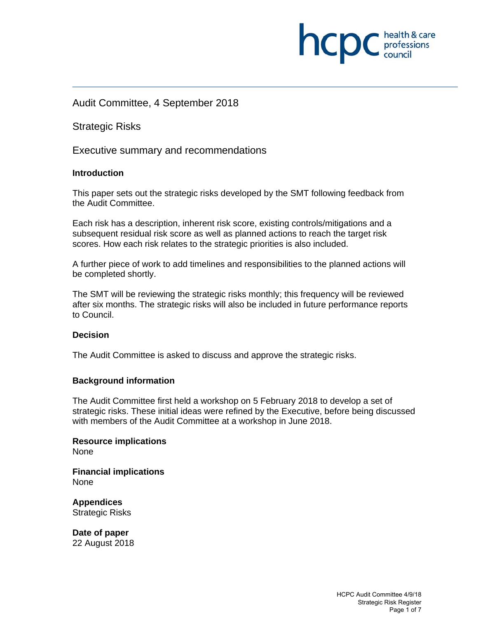# Audit Committee, 4 September 2018

Strategic Risks

Executive summary and recommendations

# **Introduction**

This paper sets out the strategic risks developed by the SMT following feedback from the Audit Committee.

Each risk has a description, inherent risk score, existing controls/mitigations and a subsequent residual risk score as well as planned actions to reach the target risk scores. How each risk relates to the strategic priorities is also included.

A further piece of work to add timelines and responsibilities to the planned actions will be completed shortly.

The SMT will be reviewing the strategic risks monthly; this frequency will be reviewed after six months. The strategic risks will also be included in future performance reports to Council.

## **Decision**

The Audit Committee is asked to discuss and approve the strategic risks.

### **Background information**

The Audit Committee first held a workshop on 5 February 2018 to develop a set of strategic risks. These initial ideas were refined by the Executive, before being discussed with members of the Audit Committee at a workshop in June 2018.

**Resource implications**  None

**Financial implications**  None

**Appendices**  Strategic Risks

**Date of paper**  22 August 2018 **INCID** C professions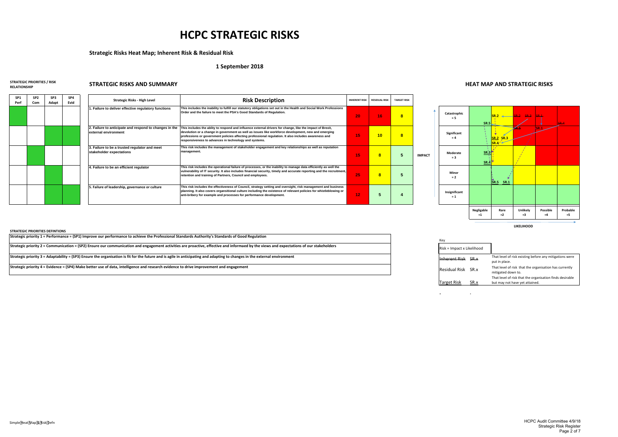**SP1 Perf**

**SP2 Com**

**SP3 Adapt**

> **Significant = 4IMPACT** Moderate **= 3 5** Minor **= 2 Insignificant**

 **Catastrophic = 5**



**= 1**

Key Risk <sup>=</sup> Impact <sup>x</sup> Likelihood

Inherent Risk SR.x

Residual Risk SR.x

**Target Risk** 

# **HCPC STRATEGIC RISKS**

# **Strategic Risks Heat Map; Inherent Risk & Residual Risk**

### **1 September 2018**

### **STRATEGIC PRIORITIES / RISK**

**RELATIONSHIP**

# **STRATEGIC RISKS AND SUMMARY HEAT MAP AND STRATEGIC RISKS**

| SP4<br>Evid | Strategic Risks - High Level                                                   | <b>Risk Description</b>                                                                                                                                                                                                                                                                                                                                                           | <b>INHERENT RISK</b> | <b>RESIDUAL RISK</b> | <b>TARGET RISK</b> |
|-------------|--------------------------------------------------------------------------------|-----------------------------------------------------------------------------------------------------------------------------------------------------------------------------------------------------------------------------------------------------------------------------------------------------------------------------------------------------------------------------------|----------------------|----------------------|--------------------|
|             | I. Failure to deliver effective regulatory functions                           | This includes the inability to fulfill our statutory obligations set out in the Health and Social Work Professions<br>Order and the failure to meet the PSA's Good Standards of Regulation.                                                                                                                                                                                       | 20                   | 16                   | 8                  |
|             | 2. Failure to anticipate and respond to changes in the<br>external environment | This includes the ablity to respond and influence external drivers for change, like the impact of Brexit,<br>devolution or a change in government as well as issues like workforce development, new and emerging<br>professions or government policies affecting professional regulation. It also includes awareness and<br>responsiveness to advances in technology and systems. | 15                   | 10                   | 8                  |
|             | 3. Failure to be a trusted regulator and meet<br>stakeholder expectations      | This risk includes the management of stakeholder engagement and key relationships as well as reputation<br>management.                                                                                                                                                                                                                                                            | 15                   | 8                    |                    |
|             | 4. Failure to be an efficient regulator                                        | This risk includes the operational failure of processes, or the inability to manage data efficiently as well the<br>vulnerability of IT security. It also includes financial security, timely and accurate reporting and the recruitment,<br>retention and training of Partners, Council and employees.                                                                           | 25                   | 8                    |                    |
|             | 5. Failure of leadership, governance or culture                                | This risk includes the effectiveness of Council, strategy setting and oversight, risk management and business<br>planning. It also covers organsitional culture including the existence of relevant policies for whistleblowing or<br>anti-bribery for example and processes for performance development.                                                                         | 12                   |                      |                    |

**LIKELIHOOD**

| .ikelihood |                                                                                            |
|------------|--------------------------------------------------------------------------------------------|
| SR.x       | That level of risk existing before any mitigations were<br>put in place.                   |
| SR.x       | That level of risk that the organisation has currently<br>mitigated down to.               |
| Rх         | That level of risk that the organisation finds desirable<br>but may not have yet attained. |
|            |                                                                                            |

 $\sim$ 

**STRATEGIC PRIORITIES DEFINTIONS**

Strategic priority 1 = Performance = (SP1) Improve our performance to achieve the Professional Standards Authority's Standards of Good Regulation

Strategic priority 2 = Communication = (SP2) Ensure our communication and engagement activities are proactive, effective and informaed by the views and expectations of our stakeholders

Strategic priority 3 = Adaptability = (SP3) Ensure the organisation is fit for the future and is agile in anticipating and adapting to changes in the external environment

Strategic priority 4 = Evidence = (SP4) Make better use of data, intelligence and research evidence to drive improvement and engagement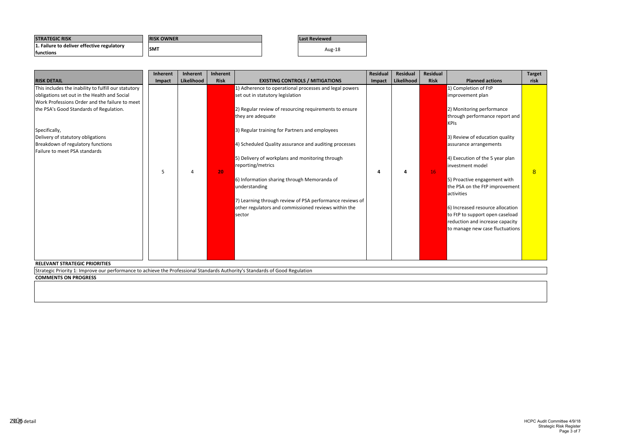| <b>STRATEGIC RISK</b>                                           | <b>RISK OWNER</b> | <b>Last Reviewed</b> |
|-----------------------------------------------------------------|-------------------|----------------------|
| 1. Failure to deliver effective regulatory<br><b>Ifunctions</b> | <b>SMT</b>        | Aug-18               |

**COMMENTS ON PROGRESS**

Strategic Priority 1: Improve our performance to achieve the Professional Standards Authority's Standards of Good Regulation

|                                                                                                                                                                      | Inherent | Inherent   | Inherent    |                                                          | <b>Residual</b> | Residual   | <b>Residual</b> |                                  | <b>Target</b> |
|----------------------------------------------------------------------------------------------------------------------------------------------------------------------|----------|------------|-------------|----------------------------------------------------------|-----------------|------------|-----------------|----------------------------------|---------------|
| <b>RISK DETAIL</b>                                                                                                                                                   | Impact   | Likelihood | <b>Risk</b> | <b>EXISTING CONTROLS / MITIGATIONS</b>                   | Impact          | Likelihood | <b>Risk</b>     | <b>Planned actions</b>           | risk          |
| This includes the inability to fulfill our statutory                                                                                                                 |          |            |             | 1) Adherence to operational processes and legal powers   |                 |            |                 | 1) Completion of FtP             |               |
| obligations set out in the Health and Social                                                                                                                         |          |            |             | set out in statutory legislation                         |                 |            |                 | improvement plan                 |               |
| Work Professions Order and the failure to meet                                                                                                                       |          |            |             |                                                          |                 |            |                 |                                  |               |
| the PSA's Good Standards of Regulation.                                                                                                                              |          |            |             | 2) Regular review of resourcing requirements to ensure   |                 |            |                 | 2) Monitoring performance        |               |
|                                                                                                                                                                      |          |            |             | they are adequate                                        |                 |            |                 | through performance report and   |               |
|                                                                                                                                                                      |          |            |             |                                                          |                 |            |                 | <b>KPIs</b>                      |               |
| Specifically,                                                                                                                                                        |          |            |             | 3) Regular training for Partners and employees           |                 |            |                 |                                  |               |
| Delivery of statutory obligations                                                                                                                                    |          |            |             |                                                          |                 |            |                 | 3) Review of education quality   |               |
| Breakdown of regulatory functions                                                                                                                                    |          |            |             | 4) Scheduled Quality assurance and auditing processes    |                 |            |                 | assurance arrangements           |               |
| Failure to meet PSA standards                                                                                                                                        |          |            |             |                                                          |                 |            |                 |                                  |               |
|                                                                                                                                                                      |          |            |             | 5) Delivery of workplans and monitoring through          |                 |            |                 | 4) Execution of the 5 year plan  |               |
|                                                                                                                                                                      |          |            |             | reporting/metrics                                        |                 |            |                 | investment model                 |               |
|                                                                                                                                                                      | 5        |            | 20          |                                                          | Δ               | 4          | 16              |                                  | 8             |
|                                                                                                                                                                      |          |            |             | 6) Information sharing through Memoranda of              |                 |            |                 | 5) Proactive engagement with     |               |
|                                                                                                                                                                      |          |            |             | understanding                                            |                 |            |                 | the PSA on the FtP improvement   |               |
|                                                                                                                                                                      |          |            |             |                                                          |                 |            |                 | activities                       |               |
|                                                                                                                                                                      |          |            |             | 7) Learning through review of PSA performance reviews of |                 |            |                 |                                  |               |
|                                                                                                                                                                      |          |            |             | other regulators and commissioned reviews within the     |                 |            |                 | 6) Increased resource allocation |               |
|                                                                                                                                                                      |          |            |             | sector                                                   |                 |            |                 | to FtP to support open caseload  |               |
|                                                                                                                                                                      |          |            |             |                                                          |                 |            |                 | reduction and increase capacity  |               |
|                                                                                                                                                                      |          |            |             |                                                          |                 |            |                 | to manage new case fluctuations  |               |
|                                                                                                                                                                      |          |            |             |                                                          |                 |            |                 |                                  |               |
|                                                                                                                                                                      |          |            |             |                                                          |                 |            |                 |                                  |               |
|                                                                                                                                                                      |          |            |             |                                                          |                 |            |                 |                                  |               |
|                                                                                                                                                                      |          |            |             |                                                          |                 |            |                 |                                  |               |
| <b>RELEVANT STRATEGIC PRIORITIES</b><br>Strategic Priority 1: Improve our performance to achieve the Professional Standards Authority's Standards of Good Regulation |          |            |             |                                                          |                 |            |                 |                                  |               |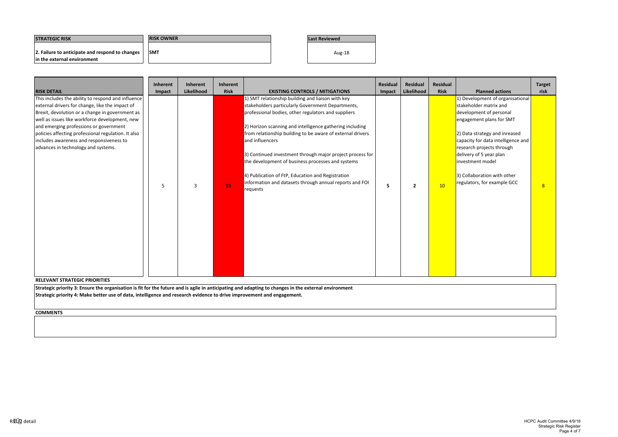| <b>ISTRATEGIC RISK</b>                          | <b>IRISK OWNER</b> | Last Reviewed |
|-------------------------------------------------|--------------------|---------------|
| 2. Failure to anticipate and respond to changes | <b>SMT</b>         | Aug-18        |
| In the external environment                     |                    |               |

| <b>RISK DETAIL</b>                                                                                                                                                                                                                                                                                                                                                                             | <b>Inherent</b><br>Impact | Inherent<br>Likelihood | Inherent<br><b>Risk</b> | <b>EXISTING CONTROLS / MITIGATIONS</b>                                                                                                                                                                                                                                                                                                                                                                                                                                                                                                                   | <b>Residual</b><br>Impact | <b>Residual</b><br>Likelihood | <b>Residual</b><br><b>Risk</b> | <b>Planned actions</b>                                                                                                                                                                                                                                                                                                             | <b>Target</b><br>risk |  |  |  |
|------------------------------------------------------------------------------------------------------------------------------------------------------------------------------------------------------------------------------------------------------------------------------------------------------------------------------------------------------------------------------------------------|---------------------------|------------------------|-------------------------|----------------------------------------------------------------------------------------------------------------------------------------------------------------------------------------------------------------------------------------------------------------------------------------------------------------------------------------------------------------------------------------------------------------------------------------------------------------------------------------------------------------------------------------------------------|---------------------------|-------------------------------|--------------------------------|------------------------------------------------------------------------------------------------------------------------------------------------------------------------------------------------------------------------------------------------------------------------------------------------------------------------------------|-----------------------|--|--|--|
| This includes the ability to respond and influence<br>external drivers for change, like the impact of<br>Brexit, devolution or a change in government as<br>well as issues like workforce development, new<br>and emerging professions or government<br>policies affecting professional regulation. It also<br>includes awareness and responsiveness to<br>advances in technology and systems. | 5                         | 3                      | 15                      | 1) SMT relationship building and liaison with key<br>stakeholders particularly Government Departments,<br>professional bodies, other regulators and suppliers<br>2) Horizon scanning and intelligence gathering including<br>from relationship building to be aware of external drivers<br>and influencers<br>3) Continued investment through major project process for<br>the development of business processes and systems<br>4) Publication of FtP, Education and Registration<br>information and datasets through annual reports and FOI<br>requests | 5                         | $\overline{2}$                | 10                             | 1) Development of organisational<br>stakeholder matrix and<br>development of personal<br>engagement plans for SMT<br>2) Data strategy and inreased<br>capacity for data intelligence and<br>research projects through<br>delivery of 5 year plan<br>investment model<br>3) Collaboration with other<br>regulators, for example GCC | 8 <sup>1</sup>        |  |  |  |
| <b>RELEVANT STRATEGIC PRIORITIES</b>                                                                                                                                                                                                                                                                                                                                                           |                           |                        |                         |                                                                                                                                                                                                                                                                                                                                                                                                                                                                                                                                                          |                           |                               |                                |                                                                                                                                                                                                                                                                                                                                    |                       |  |  |  |
| Strategic priority 3: Ensure the organisation is fit for the future and is agile in anticipating and adapting to changes in the external environment<br>Strategic priority 4: Make better use of data, intelligence and research evidence to drive improvement and engagement.                                                                                                                 |                           |                        |                         |                                                                                                                                                                                                                                                                                                                                                                                                                                                                                                                                                          |                           |                               |                                |                                                                                                                                                                                                                                                                                                                                    |                       |  |  |  |
| <b>COMMENTS</b>                                                                                                                                                                                                                                                                                                                                                                                |                           |                        |                         |                                                                                                                                                                                                                                                                                                                                                                                                                                                                                                                                                          |                           |                               |                                |                                                                                                                                                                                                                                                                                                                                    |                       |  |  |  |
|                                                                                                                                                                                                                                                                                                                                                                                                |                           |                        |                         |                                                                                                                                                                                                                                                                                                                                                                                                                                                                                                                                                          |                           |                               |                                |                                                                                                                                                                                                                                                                                                                                    |                       |  |  |  |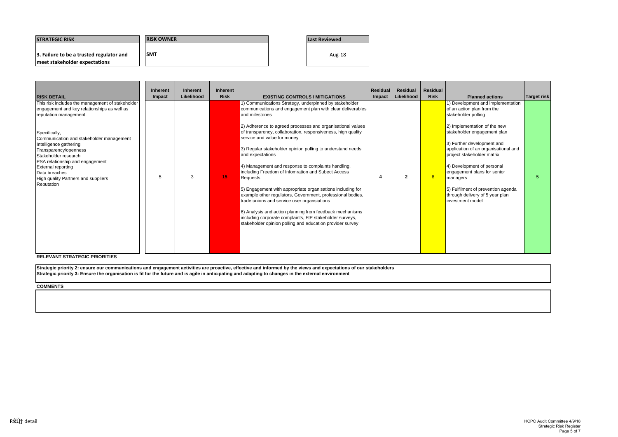| <b>ISTRATEGIC RISK</b>                                                    | <b>RISK OWNER</b> | <b>Last Reviewed</b> |
|---------------------------------------------------------------------------|-------------------|----------------------|
| 3. Failure to be a trusted regulator and<br>meet stakeholder expectations | <b>SMT</b>        | Aug-18               |

|                                                                                                                                                                                                                                                                                                                                                                                                         | <b>Inherent</b> | <b>Inherent</b>   | <b>Inherent</b> |                                                                                                                                                                                                                                                                                                                                                                                                                                                                                                                                                                                                                                                                                                                                                                                                                                                                               | <b>Residual</b> | <b>Residual</b> | <b>Residual</b> |                                                                                                                                                                                                                                                                                                                                                                                                                                 |             |  |
|---------------------------------------------------------------------------------------------------------------------------------------------------------------------------------------------------------------------------------------------------------------------------------------------------------------------------------------------------------------------------------------------------------|-----------------|-------------------|-----------------|-------------------------------------------------------------------------------------------------------------------------------------------------------------------------------------------------------------------------------------------------------------------------------------------------------------------------------------------------------------------------------------------------------------------------------------------------------------------------------------------------------------------------------------------------------------------------------------------------------------------------------------------------------------------------------------------------------------------------------------------------------------------------------------------------------------------------------------------------------------------------------|-----------------|-----------------|-----------------|---------------------------------------------------------------------------------------------------------------------------------------------------------------------------------------------------------------------------------------------------------------------------------------------------------------------------------------------------------------------------------------------------------------------------------|-------------|--|
| <b>RISK DETAIL</b>                                                                                                                                                                                                                                                                                                                                                                                      | Impact          | <b>Likelihood</b> | <b>Risk</b>     | <b>EXISTING CONTROLS / MITIGATIONS</b>                                                                                                                                                                                                                                                                                                                                                                                                                                                                                                                                                                                                                                                                                                                                                                                                                                        | Impact          | Likelihood      | <b>Risk</b>     | <b>Planned actions</b>                                                                                                                                                                                                                                                                                                                                                                                                          | Target risk |  |
| This risk includes the management of stakeholder<br>engagement and key relationships as well as<br>reputation management.<br>Specifically,<br>Communication and stakeholder management<br>Intelligence gathering<br>Transparency/openness<br>Stakeholder research<br>PSA relationship and engagement<br><b>External reporting</b><br>Data breaches<br>High quality Partners and suppliers<br>Reputation | 5               | 3                 | 15              | 1) Communications Strategy, underpinned by stakeholder<br>communications and engagement plan with clear deliverables<br>and milestones<br>2) Adherence to agreed processes and organisational values<br>of transparency, collaboration, responsiveness, high quality<br>service and value for money<br>3) Regular stakeholder opinion polling to understand needs<br>and expectations<br>4) Management and response to complaints handling,<br>including Freedom of Infomration and Subect Access<br>Requests<br>5) Engagement with appropriate organisations including for<br>example other regulators, Government, professional bodies,<br>trade unions and service user organsiations<br>6) Analysis and action planning from feedback mechanisms<br>including corporate complaints, FtP stakeholder surveys,<br>stakeholder opinion polling and education provider survey | 4               | $\mathbf{p}$    | 8               | 1) Development and implementation<br>of an action plan from the<br>stakeholder polling<br>2) Implementation of the new<br>stakeholder engagement plan<br>3) Further development and<br>application of an organisational and<br>project stakeholder matrix<br>4) Development of personal<br>engagement plans for senior<br>managers<br>5) Fulfilment of prevention agenda<br>through delivery of 5 year plan<br>investment model |             |  |
| <b>RELEVANT STRATEGIC PRIORITIES</b>                                                                                                                                                                                                                                                                                                                                                                    |                 |                   |                 |                                                                                                                                                                                                                                                                                                                                                                                                                                                                                                                                                                                                                                                                                                                                                                                                                                                                               |                 |                 |                 |                                                                                                                                                                                                                                                                                                                                                                                                                                 |             |  |
| Strategic priority 2: ensure our communications and engagement activities are proactive, effective and informed by the views and expectations of our stakeholders<br>Strategic priority 3: Ensure the organisation is fit for the future and is agile in anticipating and adapting to changes in the external environment                                                                               |                 |                   |                 |                                                                                                                                                                                                                                                                                                                                                                                                                                                                                                                                                                                                                                                                                                                                                                                                                                                                               |                 |                 |                 |                                                                                                                                                                                                                                                                                                                                                                                                                                 |             |  |
| <b>COMMENTS</b>                                                                                                                                                                                                                                                                                                                                                                                         |                 |                   |                 |                                                                                                                                                                                                                                                                                                                                                                                                                                                                                                                                                                                                                                                                                                                                                                                                                                                                               |                 |                 |                 |                                                                                                                                                                                                                                                                                                                                                                                                                                 |             |  |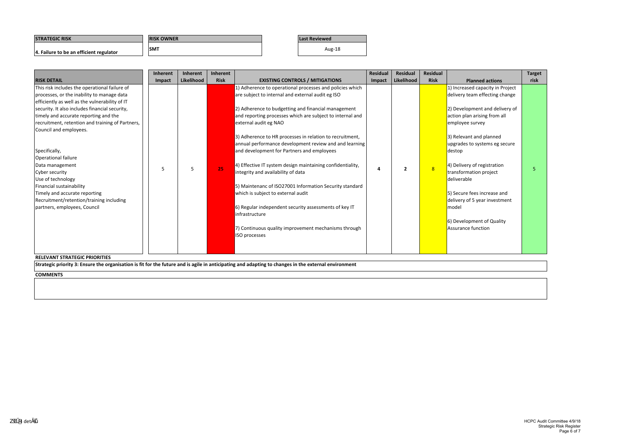| <b>ISTRATEGIC RISK</b>                  | <b>IRISK OWNER</b> | <b>Last Reviewed</b> |
|-----------------------------------------|--------------------|----------------------|
| 4. Failure to be an efficient regulator | <b>SMT</b>         | Aug-18               |

**COMMENTS**

|                                                  | <b>Inherent</b> | Inherent   | <b>Inherent</b> |                                                            | <b>Residual</b> | <b>Residual</b> | <b>Residual</b> |                                  | <b>Target</b> |
|--------------------------------------------------|-----------------|------------|-----------------|------------------------------------------------------------|-----------------|-----------------|-----------------|----------------------------------|---------------|
| <b>RISK DETAIL</b>                               | Impact          | Likelihood | <b>Risk</b>     | <b>EXISTING CONTROLS / MITIGATIONS</b>                     | Impact          | Likelihood      | <b>Risk</b>     | <b>Planned actions</b>           | risk          |
| This risk includes the operational failure of    |                 |            |                 | 1) Adherence to operational processes and policies which   |                 |                 |                 | 1) Increased capacity in Project |               |
| processes, or the inability to manage data       |                 |            |                 | are subject to internal and external audit eg ISO          |                 |                 |                 | delivery team effecting change   |               |
| efficiently as well as the vulnerability of IT   |                 |            |                 |                                                            |                 |                 |                 |                                  |               |
| security. It also includes financial security,   |                 |            |                 | 2) Adherence to budgetting and financial management        |                 |                 |                 | 2) Development and delivery of   |               |
| timely and accurate reporting and the            |                 |            |                 | and reporting processes which are subject to internal and  |                 |                 |                 | action plan arising from all     |               |
| recruitment, retention and training of Partners, |                 |            |                 | external audit eg NAO                                      |                 |                 |                 | employee survey                  |               |
| Council and employees.                           |                 |            |                 |                                                            |                 |                 |                 |                                  |               |
|                                                  |                 |            |                 | 3) Adherence to HR processes in relation to recruitment,   |                 |                 |                 | 3) Relevant and planned          |               |
|                                                  |                 |            |                 | annual performance development review and and learning     |                 |                 |                 | upgrades to systems eg secure    |               |
| Specifically,                                    |                 |            |                 | and development for Partners and employees                 |                 |                 |                 | destop                           |               |
| Operational failure                              |                 |            |                 |                                                            |                 |                 |                 |                                  |               |
| Data management                                  |                 | 5          | 25              | 4) Effective IT system design maintaining confidentiality, | 4               | $\overline{2}$  | 8               | 4) Delivery of registration      |               |
| Cyber security                                   |                 |            |                 | integrity and availability of data                         |                 |                 |                 | transformation project           |               |
| Use of technology                                |                 |            |                 |                                                            |                 |                 |                 | deliverable                      |               |
| Financial sustainability                         |                 |            |                 | 5) Maintenanc of ISO27001 Information Security standard    |                 |                 |                 |                                  |               |
| Timely and accurate reporting                    |                 |            |                 | which is subject to external audit                         |                 |                 |                 | 5) Secure fees increase and      |               |
| Recruitment/retention/training including         |                 |            |                 |                                                            |                 |                 |                 | delivery of 5 year investment    |               |
| partners, employees, Council                     |                 |            |                 | 6) Regular independent security assessments of key IT      |                 |                 |                 | model                            |               |
|                                                  |                 |            |                 | linfrastructure                                            |                 |                 |                 |                                  |               |
|                                                  |                 |            |                 |                                                            |                 |                 |                 | 6) Development of Quality        |               |
|                                                  |                 |            |                 | 7) Continuous quality improvement mechanisms through       |                 |                 |                 | Assurance function               |               |
|                                                  |                 |            |                 | ISO processes                                              |                 |                 |                 |                                  |               |
|                                                  |                 |            |                 |                                                            |                 |                 |                 |                                  |               |
|                                                  |                 |            |                 |                                                            |                 |                 |                 |                                  |               |
| <b>RELEVANT STRATEGIC PRIORITIES</b>             |                 |            |                 |                                                            |                 |                 |                 |                                  |               |

Strategic priority 3: Ensure the organisation is fit for the future and is agile in anticipating and adapting to changes in the external environment